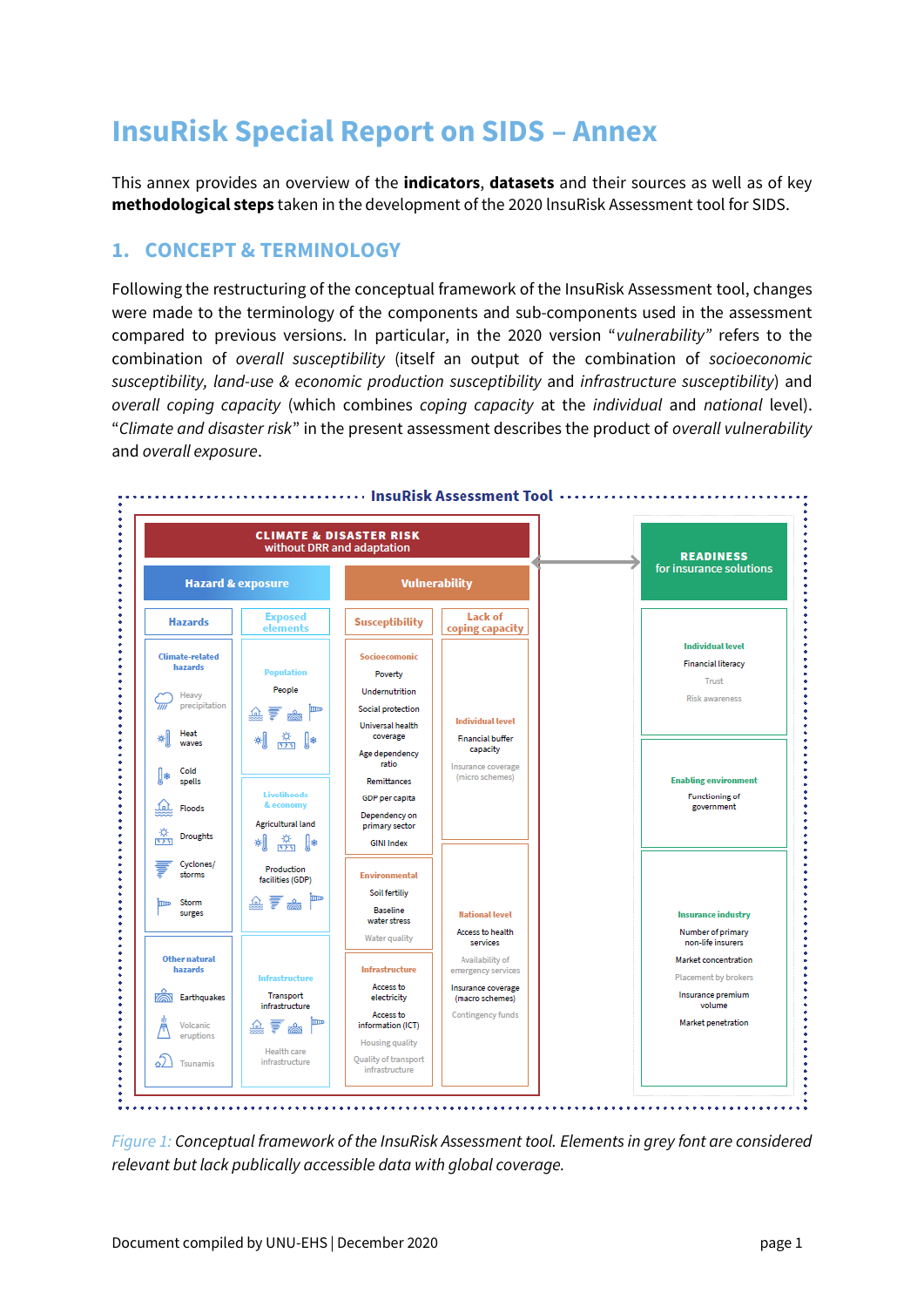# **InsuRisk Special Report on SIDS – Annex**

This annex provides an overview of the **indicators**, **datasets** and their sources as well as of key **methodological steps** taken in the development of the 2020 lnsuRisk Assessment tool for SIDS.

### **1. CONCEPT & TERMINOLOGY**

Following the restructuring of the conceptual framework of the InsuRisk Assessment tool, changes were made to the terminology of the components and sub-components used in the assessment compared to previous versions. In particular, in the 2020 version "*vulnerability"* refers to the combination of *overall susceptibility* (itself an output of the combination of *socioeconomic susceptibility, land-use & economic production susceptibility* and *infrastructure susceptibility*) and *overall coping capacity* (which combines *coping capacity* at the *individual* and *national* level). "*Climate and disaster risk*" in the present assessment describes the product of *overall vulnerability* and *overall exposure*.



*Figure 1: Conceptual framework of the InsuRisk Assessment tool. Elements in grey font are considered relevant but lack publically accessible data with global coverage.*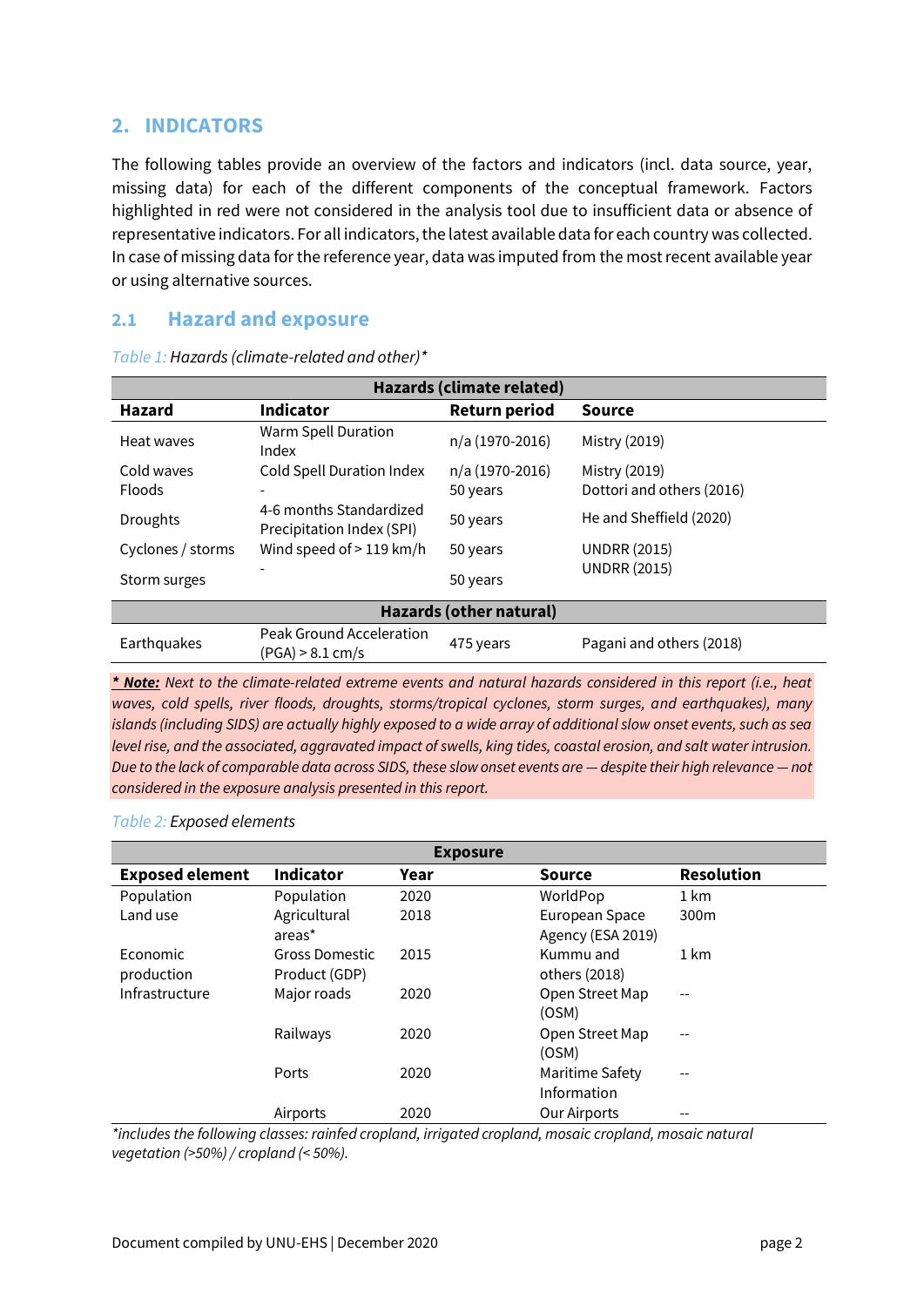## **2. INDICATORS**

The following tables provide an overview of the factors and indicators (incl. data source, year, missing data) for each of the different components of the conceptual framework. Factors highlighted in red were not considered in the analysis tool due to insufficient data or absence of representative indicators. For all indicators, the latest available data for each country was collected. In case of missing data for the reference year, data was imputed from the most recent available year or using alternative sources.

#### **2.1 Hazard and exposure**

| Hazards (climate related)      |                                                      |                      |                           |  |  |  |  |
|--------------------------------|------------------------------------------------------|----------------------|---------------------------|--|--|--|--|
| <b>Hazard</b>                  | <b>Indicator</b>                                     | <b>Return period</b> | <b>Source</b>             |  |  |  |  |
| Heat waves                     | Warm Spell Duration<br>Index                         | n/a (1970-2016)      | Mistry (2019)             |  |  |  |  |
| Cold waves                     | Cold Spell Duration Index                            | n/a (1970-2016)      | Mistry (2019)             |  |  |  |  |
| <b>Floods</b>                  |                                                      | 50 years             | Dottori and others (2016) |  |  |  |  |
| <b>Droughts</b>                | 4-6 months Standardized<br>Precipitation Index (SPI) | 50 years             | He and Sheffield (2020)   |  |  |  |  |
| Cyclones / storms              | Wind speed of > 119 km/h                             | 50 years             | <b>UNDRR (2015)</b>       |  |  |  |  |
| Storm surges                   |                                                      | 50 years             | <b>UNDRR (2015)</b>       |  |  |  |  |
| <b>Hazards (other natural)</b> |                                                      |                      |                           |  |  |  |  |
| Earthquakes                    | Peak Ground Acceleration<br>(PGA) > 8.1 cm/s         | 475 years            | Pagani and others (2018)  |  |  |  |  |

*Table 1: Hazards (climate-related and other)\**

*\* Note: Next to the climate-related extreme events and natural hazards considered in this report (i.e., heat waves, cold spells, river floods, droughts, storms/tropical cyclones, storm surges, and earthquakes), many islands (including SIDS) are actually highly exposed to a wide array of additional slow onset events, such as sea level rise, and the associated, aggravated impact of swells, king tides, coastal erosion, and salt water intrusion. Due to the lack of comparable data across SIDS, these slow onset events are — despite their high relevance — not considered in the exposure analysis presented in this report.*

#### *Table 2: Exposed elements*

|                        |                  | <b>Exposure</b> |                     |                   |
|------------------------|------------------|-----------------|---------------------|-------------------|
| <b>Exposed element</b> | <b>Indicator</b> | Year            | <b>Source</b>       | <b>Resolution</b> |
| Population             | Population       | 2020            | WorldPop            | 1 km              |
| Land use               | Agricultural     | 2018            | European Space      | 300 <sub>m</sub>  |
|                        | areas*           |                 | Agency (ESA 2019)   |                   |
| <b>Economic</b>        | Gross Domestic   | 2015            | Kummu and           | 1 km              |
| production             | Product (GDP)    |                 | others (2018)       |                   |
| Infrastructure         | Major roads      | 2020            | Open Street Map     | --                |
|                        |                  |                 | (OSM)               |                   |
|                        | Railways         | 2020            | Open Street Map     | --                |
|                        |                  |                 | (OSM)               |                   |
|                        | Ports            | 2020            | Maritime Safety     | --                |
|                        |                  |                 | Information         |                   |
|                        | Airports         | 2020            | <b>Our Airports</b> |                   |

*\*includes the following classes: rainfed cropland, irrigated cropland, mosaic cropland, mosaic natural vegetation (>50%) / cropland (< 50%).*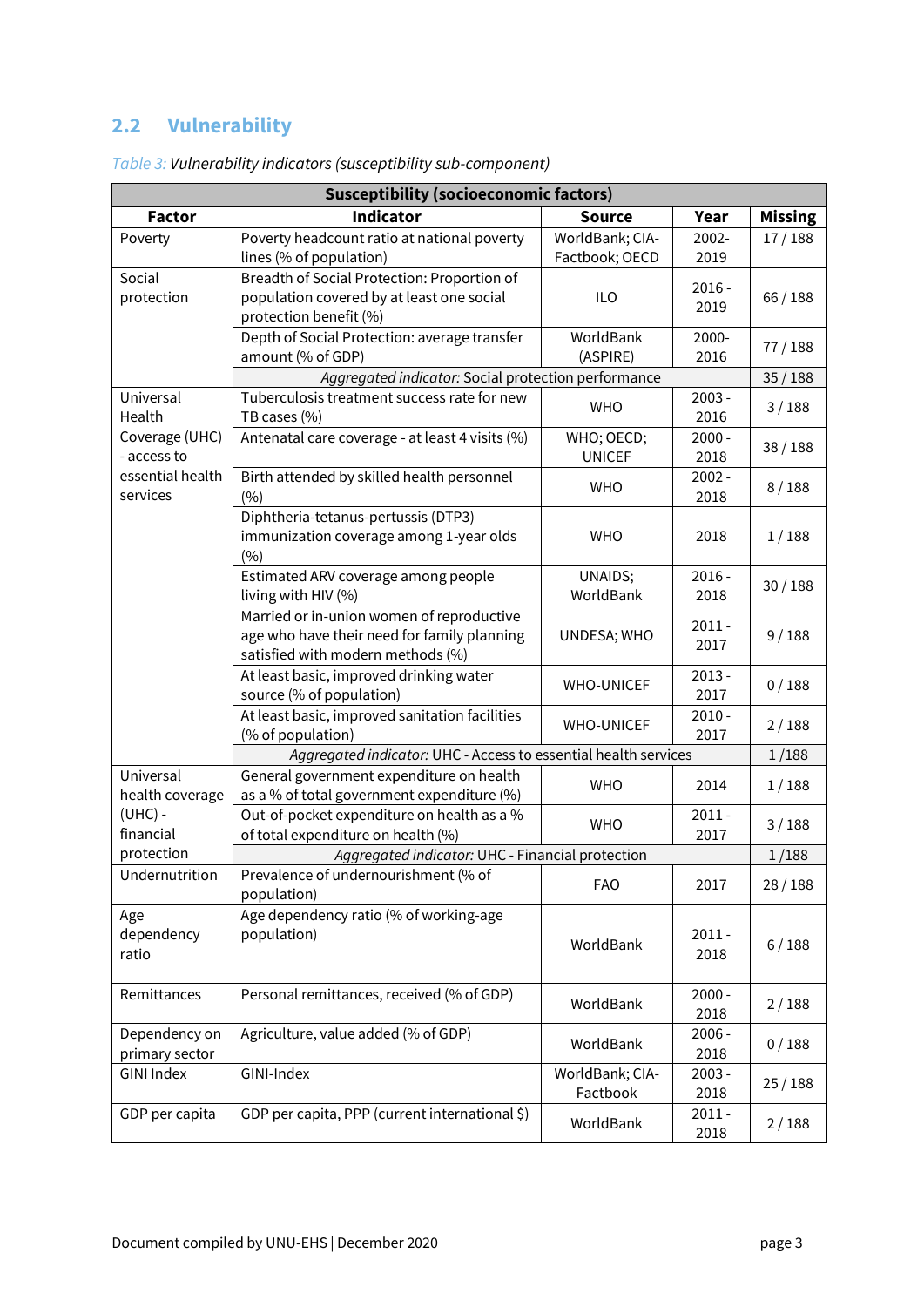# **2.2 Vulnerability**

| <b>Susceptibility (socioeconomic factors)</b> |                                                                                                                               |                                   |                  |                |  |  |  |
|-----------------------------------------------|-------------------------------------------------------------------------------------------------------------------------------|-----------------------------------|------------------|----------------|--|--|--|
| <b>Factor</b>                                 | <b>Indicator</b>                                                                                                              | <b>Source</b>                     | Year             | <b>Missing</b> |  |  |  |
| Poverty                                       | Poverty headcount ratio at national poverty<br>lines (% of population)                                                        | WorldBank; CIA-<br>Factbook; OECD | 2002-<br>2019    | 17/188         |  |  |  |
| Social<br>protection                          | Breadth of Social Protection: Proportion of<br>population covered by at least one social<br>protection benefit (%)            | ILO                               | $2016 -$<br>2019 | 66/188         |  |  |  |
|                                               | Depth of Social Protection: average transfer<br>amount (% of GDP)                                                             | WorldBank<br>(ASPIRE)             | 2000-<br>2016    | 77/188         |  |  |  |
|                                               | Aggregated indicator: Social protection performance                                                                           |                                   |                  | 35/188         |  |  |  |
| Universal<br>Health                           | Tuberculosis treatment success rate for new<br>TB cases (%)                                                                   | <b>WHO</b>                        | $2003 -$<br>2016 | 3/188          |  |  |  |
| Coverage (UHC)<br>- access to                 | Antenatal care coverage - at least 4 visits (%)                                                                               | WHO; OECD;<br><b>UNICEF</b>       | $2000 -$<br>2018 | 38/188         |  |  |  |
| essential health<br>services                  | Birth attended by skilled health personnel<br>(%)                                                                             | <b>WHO</b>                        | $2002 -$<br>2018 | 8/188          |  |  |  |
|                                               | Diphtheria-tetanus-pertussis (DTP3)<br>immunization coverage among 1-year olds<br>(%)                                         | <b>WHO</b>                        | 2018             | 1/188          |  |  |  |
|                                               | Estimated ARV coverage among people<br>living with HIV (%)                                                                    | UNAIDS;<br>WorldBank              | $2016 -$<br>2018 | 30/188         |  |  |  |
|                                               | Married or in-union women of reproductive<br>age who have their need for family planning<br>satisfied with modern methods (%) | UNDESA; WHO                       | $2011 -$<br>2017 | 9/188          |  |  |  |
|                                               | At least basic, improved drinking water<br>source (% of population)                                                           | <b>WHO-UNICEF</b>                 | $2013 -$<br>2017 | 0/188          |  |  |  |
|                                               | At least basic, improved sanitation facilities<br>(% of population)                                                           | <b>WHO-UNICEF</b>                 | $2010 -$<br>2017 | 2/188          |  |  |  |
|                                               | Aggregated indicator: UHC - Access to essential health services                                                               |                                   |                  | 1/188          |  |  |  |
| Universal<br>health coverage                  | General government expenditure on health<br>as a % of total government expenditure (%)                                        | <b>WHO</b>                        | 2014             | 1/188          |  |  |  |
| $(UHC)$ -<br>financial                        | Out-of-pocket expenditure on health as a %<br>of total expenditure on health (%)                                              | <b>WHO</b>                        | $2011 -$<br>2017 | 3/188          |  |  |  |
| protection                                    | Aggregated indicator: UHC - Financial protection                                                                              |                                   |                  | 1/188          |  |  |  |
| Undernutrition                                | Prevalence of undernourishment (% of<br>population)                                                                           | <b>FAO</b>                        | 2017             | 28/188         |  |  |  |
| Age<br>dependency<br>ratio                    | Age dependency ratio (% of working-age<br>population)                                                                         | WorldBank                         | $2011 -$<br>2018 | 6/188          |  |  |  |
| Remittances                                   | Personal remittances, received (% of GDP)                                                                                     | WorldBank                         | $2000 -$<br>2018 | 2/188          |  |  |  |
| Dependency on<br>primary sector               | Agriculture, value added (% of GDP)                                                                                           | WorldBank                         | $2006 -$<br>2018 | 0/188          |  |  |  |
| <b>GINI Index</b>                             | GINI-Index                                                                                                                    | WorldBank; CIA-<br>Factbook       | $2003 -$<br>2018 | 25/188         |  |  |  |
| GDP per capita                                | GDP per capita, PPP (current international \$)                                                                                | WorldBank                         | $2011 -$<br>2018 | 2/188          |  |  |  |

*Table 3: Vulnerability indicators (susceptibility sub-component)*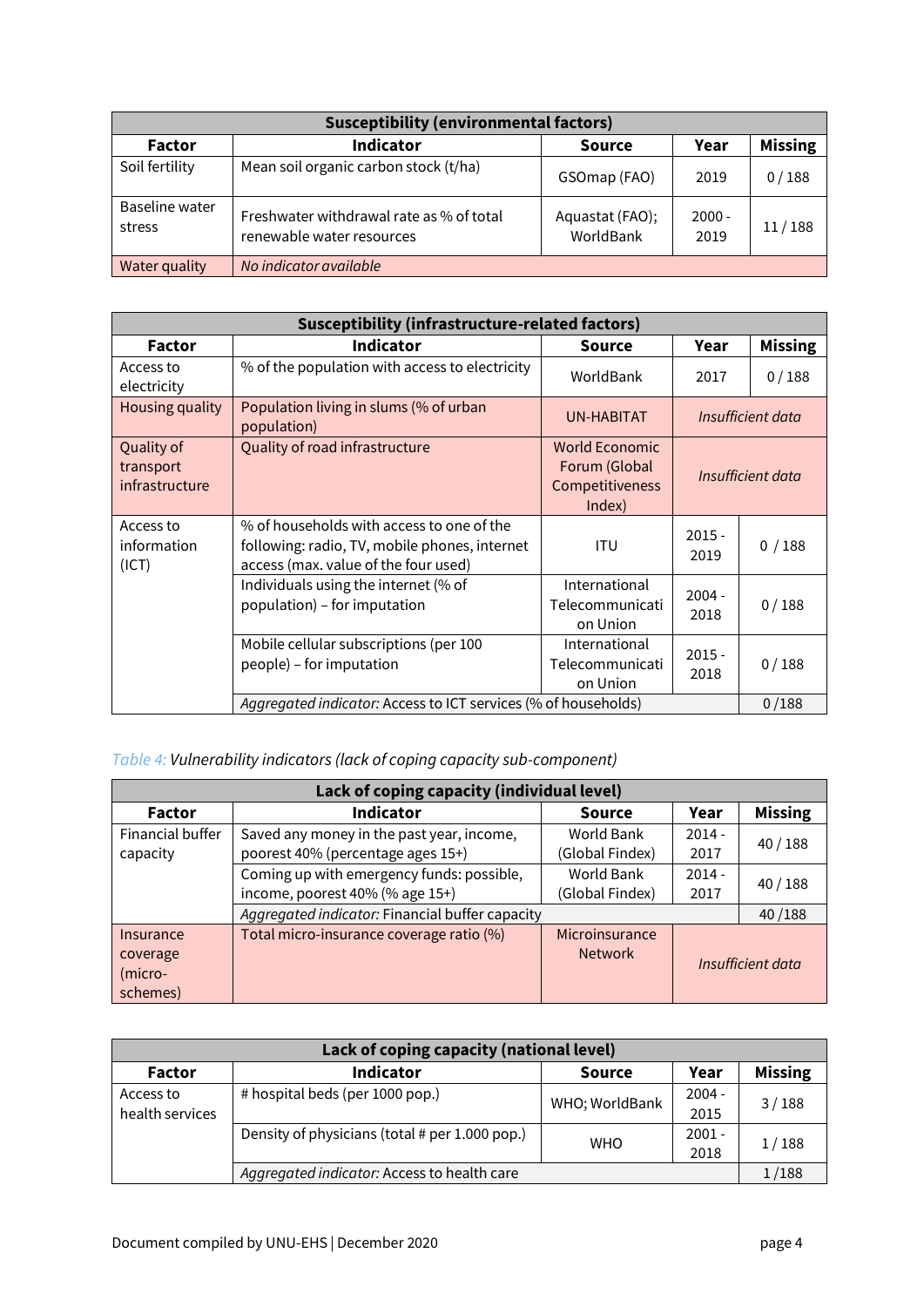| <b>Susceptibility (environmental factors)</b> |                                                                       |                              |                  |        |  |  |  |  |
|-----------------------------------------------|-----------------------------------------------------------------------|------------------------------|------------------|--------|--|--|--|--|
| <b>Factor</b>                                 | <b>Indicator</b>                                                      | Year                         | <b>Missing</b>   |        |  |  |  |  |
| Soil fertility                                | Mean soil organic carbon stock (t/ha)                                 | GSOmap (FAO)                 | 2019             | 0/188  |  |  |  |  |
| <b>Baseline water</b><br>stress               | Freshwater withdrawal rate as % of total<br>renewable water resources | Aquastat (FAO);<br>WorldBank | $2000 -$<br>2019 | 11/188 |  |  |  |  |
| Water quality                                 | No indicator available                                                |                              |                  |        |  |  |  |  |

| <b>Susceptibility (infrastructure-related factors)</b> |                                                                                                                                    |                                                                     |                   |                   |  |  |
|--------------------------------------------------------|------------------------------------------------------------------------------------------------------------------------------------|---------------------------------------------------------------------|-------------------|-------------------|--|--|
| <b>Factor</b>                                          | <b>Indicator</b>                                                                                                                   | Source                                                              | Year              | <b>Missing</b>    |  |  |
| Access to<br>electricity                               | % of the population with access to electricity                                                                                     | WorldBank                                                           | 2017              | 0/188             |  |  |
| Housing quality                                        | Population living in slums (% of urban<br>population)                                                                              | UN-HABITAT                                                          |                   | Insufficient data |  |  |
| Quality of<br>transport<br>infrastructure              | Quality of road infrastructure                                                                                                     | <b>World Economic</b><br>Forum (Global<br>Competitiveness<br>Index) | Insufficient data |                   |  |  |
| Access to<br>information<br>(ICT)                      | % of households with access to one of the<br>following: radio, TV, mobile phones, internet<br>access (max. value of the four used) | <b>ITU</b>                                                          | $2015 -$<br>2019  | 0/188             |  |  |
|                                                        | Individuals using the internet (% of<br>population) - for imputation                                                               | International<br>Telecommunicati<br>on Union                        | $2004 -$<br>2018  | 0/188             |  |  |
|                                                        | Mobile cellular subscriptions (per 100<br>people) - for imputation                                                                 | International<br>Telecommunicati<br>on Union                        | $2015 -$<br>2018  | 0/188             |  |  |
|                                                        | Aggregated indicator: Access to ICT services (% of households)                                                                     |                                                                     |                   |                   |  |  |

# *Table 4: Vulnerability indicators (lack of coping capacity sub-component)*

| Lack of coping capacity (individual level) |                                                 |                 |                |                   |  |  |  |
|--------------------------------------------|-------------------------------------------------|-----------------|----------------|-------------------|--|--|--|
| <b>Factor</b>                              | <b>Indicator</b>                                | Year            | <b>Missing</b> |                   |  |  |  |
| Financial buffer                           | Saved any money in the past year, income,       | World Bank      | $2014 -$       | 40/188            |  |  |  |
| capacity                                   | poorest 40% (percentage ages 15+)               | (Global Findex) | 2017           |                   |  |  |  |
|                                            | Coming up with emergency funds: possible,       | World Bank      | $2014 -$       | 40/188            |  |  |  |
|                                            | income, poorest 40% (% age 15+)                 | (Global Findex) | 2017           |                   |  |  |  |
|                                            | Aggregated indicator: Financial buffer capacity |                 |                | 40/188            |  |  |  |
| Insurance                                  | Total micro-insurance coverage ratio (%)        | Microinsurance  |                |                   |  |  |  |
| coverage                                   |                                                 | <b>Network</b>  |                | Insufficient data |  |  |  |
| (micro-                                    |                                                 |                 |                |                   |  |  |  |
| schemes)                                   |                                                 |                 |                |                   |  |  |  |

| Lack of coping capacity (national level) |                                                |                |          |                |  |  |  |
|------------------------------------------|------------------------------------------------|----------------|----------|----------------|--|--|--|
| <b>Factor</b>                            | <b>Indicator</b>                               | <b>Source</b>  | Year     | <b>Missing</b> |  |  |  |
| Access to                                | # hospital beds (per 1000 pop.)                | WHO; WorldBank | $2004 -$ | 3/188<br>1/188 |  |  |  |
| health services                          |                                                |                | 2015     |                |  |  |  |
|                                          | Density of physicians (total # per 1.000 pop.) | <b>WHO</b>     | $2001 -$ |                |  |  |  |
|                                          |                                                |                | 2018     |                |  |  |  |
|                                          | Aggregated indicator: Access to health care    | 1/188          |          |                |  |  |  |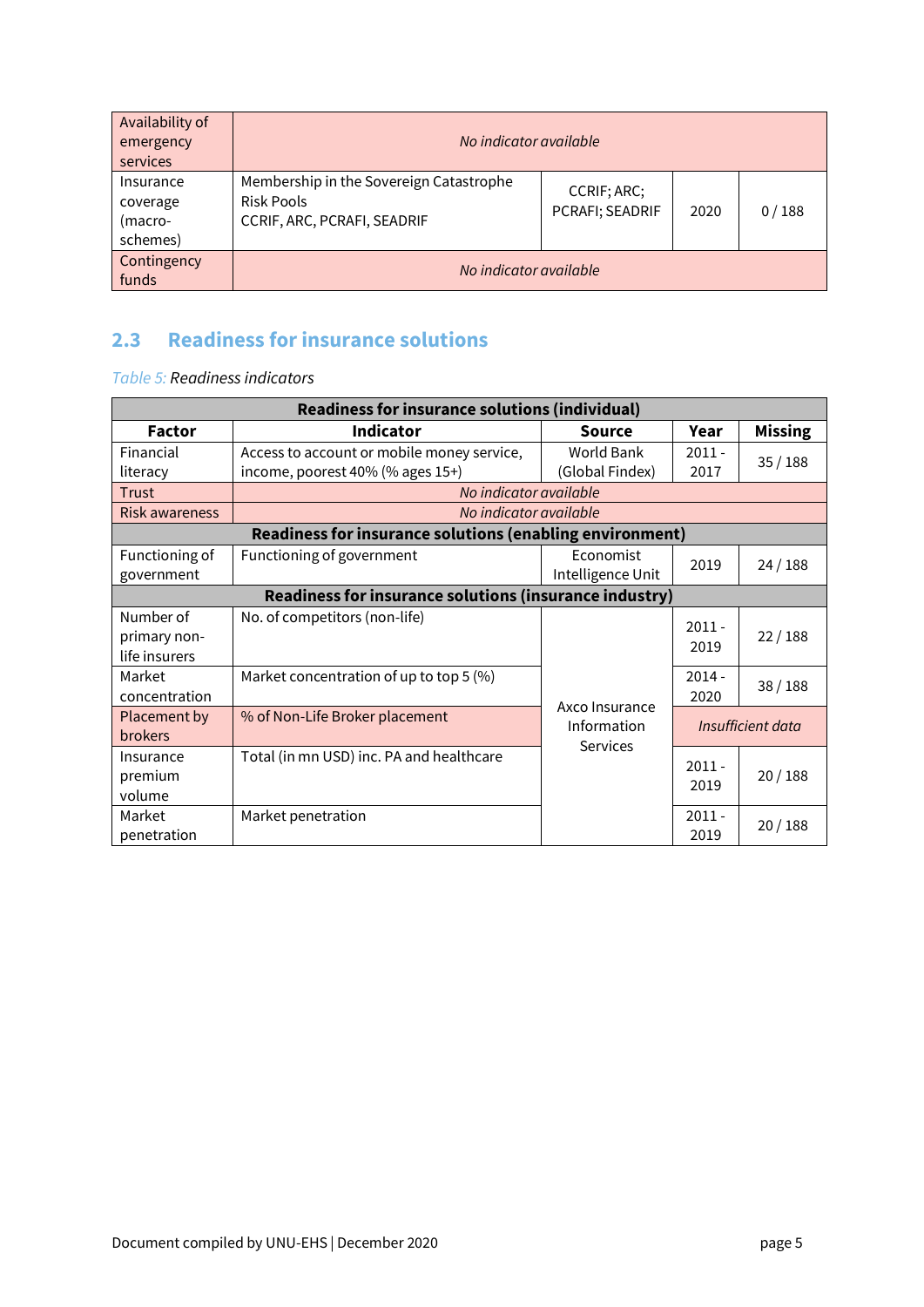| Availability of<br>emergency<br>services     | No indicator available                                                               |                                |      |       |  |  |
|----------------------------------------------|--------------------------------------------------------------------------------------|--------------------------------|------|-------|--|--|
| Insurance<br>coverage<br>(macro-<br>schemes) | Membership in the Sovereign Catastrophe<br>Risk Pools<br>CCRIF, ARC, PCRAFI, SEADRIF | CCRIF; ARC;<br>PCRAFI; SEADRIF | 2020 | 0/188 |  |  |
| Contingency<br>funds                         | No indicator available                                                               |                                |      |       |  |  |

# **2.3 Readiness for insurance solutions**

*Table 5: Readiness indicators*

| <b>Readiness for insurance solutions (individual)</b>  |                                                          |                   |          |                   |  |  |
|--------------------------------------------------------|----------------------------------------------------------|-------------------|----------|-------------------|--|--|
| <b>Factor</b>                                          | <b>Indicator</b>                                         | <b>Source</b>     | Year     | <b>Missing</b>    |  |  |
| Financial                                              | Access to account or mobile money service,               | World Bank        | $2011 -$ | 35/188            |  |  |
| literacy                                               | income, poorest 40% (% ages 15+)                         | (Global Findex)   | 2017     |                   |  |  |
| Trust                                                  | No indicator available                                   |                   |          |                   |  |  |
| <b>Risk awareness</b>                                  | No indicator available                                   |                   |          |                   |  |  |
|                                                        | Readiness for insurance solutions (enabling environment) |                   |          |                   |  |  |
| Functioning of                                         | Functioning of government                                | Economist         | 2019     | 24/188            |  |  |
| government                                             |                                                          | Intelligence Unit |          |                   |  |  |
| Readiness for insurance solutions (insurance industry) |                                                          |                   |          |                   |  |  |
| Number of                                              | No. of competitors (non-life)                            |                   | $2011 -$ |                   |  |  |
| primary non-                                           |                                                          |                   | 2019     | 22/188            |  |  |
| life insurers                                          |                                                          |                   |          |                   |  |  |
| Market                                                 | Market concentration of up to top 5 (%)                  |                   | $2014 -$ | 38/188            |  |  |
| concentration                                          |                                                          | Axco Insurance    | 2020     |                   |  |  |
| Placement by                                           | % of Non-Life Broker placement                           | Information       |          | Insufficient data |  |  |
| <b>brokers</b>                                         |                                                          | <b>Services</b>   |          |                   |  |  |
| Insurance                                              | Total (in mn USD) inc. PA and healthcare                 |                   | $2011 -$ |                   |  |  |
| premium                                                |                                                          |                   | 2019     | 20/188            |  |  |
| volume                                                 |                                                          |                   |          |                   |  |  |
| Market                                                 | Market penetration                                       |                   | $2011 -$ | 20/188            |  |  |
| penetration                                            |                                                          |                   | 2019     |                   |  |  |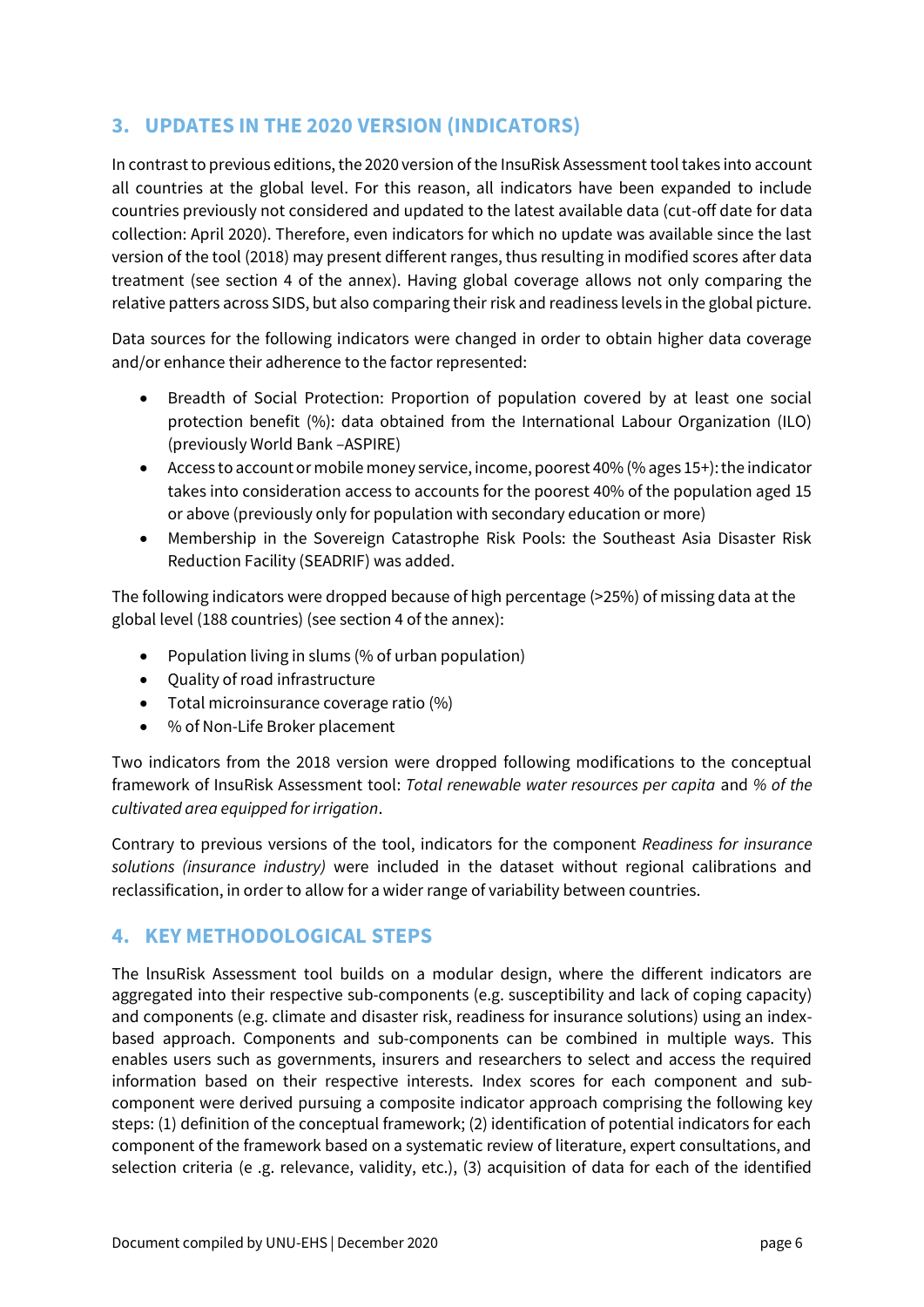# **3. UPDATES IN THE 2020 VERSION (INDICATORS)**

In contrast to previous editions, the 2020 version of the InsuRisk Assessment tool takes into account all countries at the global level. For this reason, all indicators have been expanded to include countries previously not considered and updated to the latest available data (cut-off date for data collection: April 2020). Therefore, even indicators for which no update was available since the last version of the tool (2018) may present different ranges, thus resulting in modified scores after data treatment (see section 4 of the annex). Having global coverage allows not only comparing the relative patters across SIDS, but also comparing their risk and readiness levels in the global picture.

Data sources for the following indicators were changed in order to obtain higher data coverage and/or enhance their adherence to the factor represented:

- Breadth of Social Protection: Proportion of population covered by at least one social protection benefit (%): data obtained from the International Labour Organization (ILO) (previously World Bank –ASPIRE)
- Access to account or mobile money service, income, poorest 40% (% ages 15+): the indicator takes into consideration access to accounts for the poorest 40% of the population aged 15 or above (previously only for population with secondary education or more)
- Membership in the Sovereign Catastrophe Risk Pools: the Southeast Asia Disaster Risk Reduction Facility (SEADRIF) was added.

The following indicators were dropped because of high percentage (>25%) of missing data at the global level (188 countries) (see section 4 of the annex):

- Population living in slums (% of urban population)
- Quality of road infrastructure
- Total microinsurance coverage ratio (%)
- % of Non-Life Broker placement

Two indicators from the 2018 version were dropped following modifications to the conceptual framework of InsuRisk Assessment tool: *Total renewable water resources per capita* and *% of the cultivated area equipped for irrigation*.

Contrary to previous versions of the tool, indicators for the component *Readiness for insurance solutions (insurance industry)* were included in the dataset without regional calibrations and reclassification, in order to allow for a wider range of variability between countries.

# **4. KEY METHODOLOGICAL STEPS**

The lnsuRisk Assessment tool builds on a modular design, where the different indicators are aggregated into their respective sub-components (e.g. susceptibility and lack of coping capacity) and components (e.g. climate and disaster risk, readiness for insurance solutions) using an indexbased approach. Components and sub-components can be combined in multiple ways. This enables users such as governments, insurers and researchers to select and access the required information based on their respective interests. Index scores for each component and subcomponent were derived pursuing a composite indicator approach comprising the following key steps: (1) definition of the conceptual framework; (2) identification of potential indicators for each component of the framework based on a systematic review of literature, expert consultations, and selection criteria (e .g. relevance, validity, etc.), (3) acquisition of data for each of the identified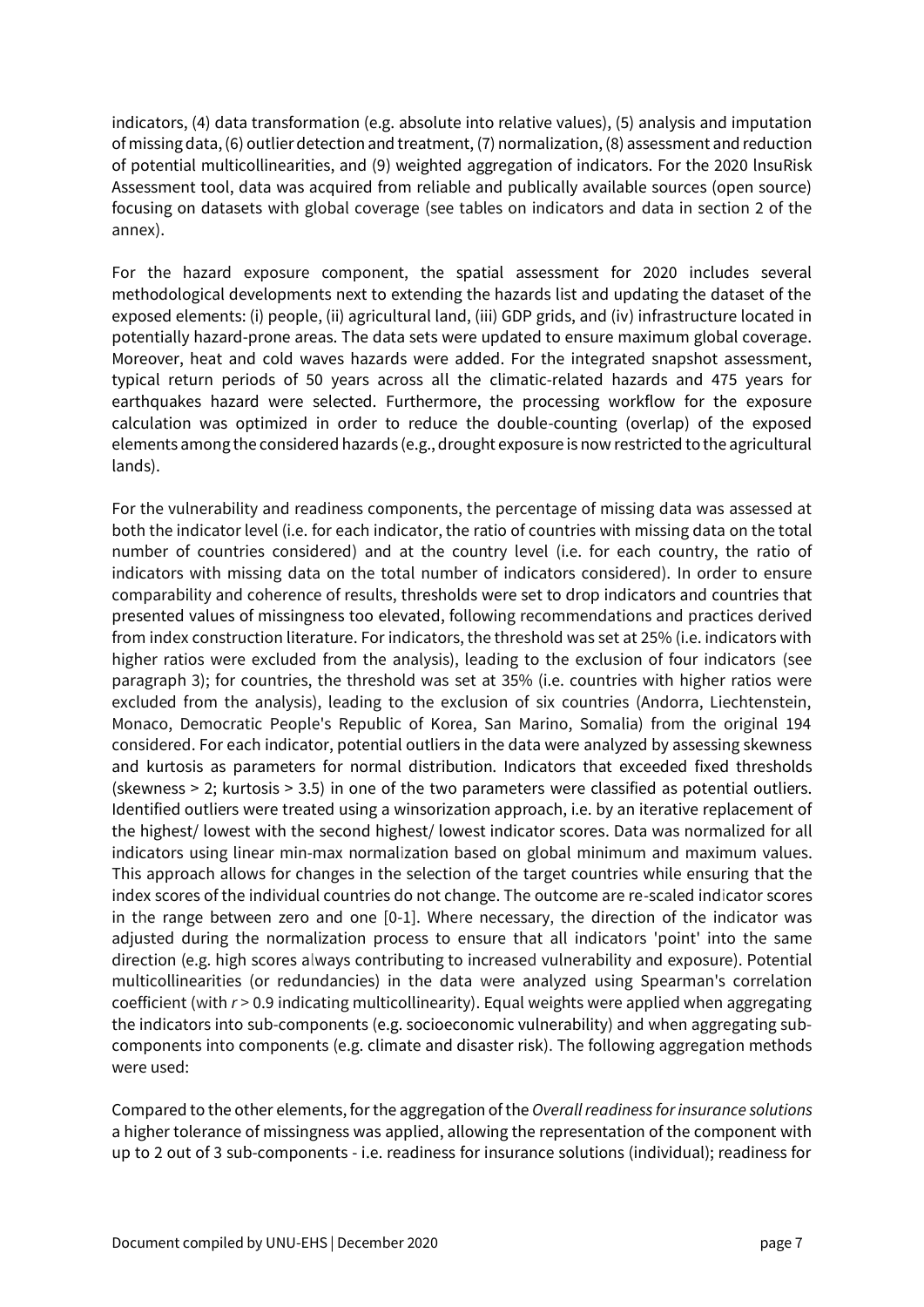indicators, (4) data transformation (e.g. absolute into relative values), (5) analysis and imputation of missing data, (6) outlier detection and treatment, (7) normalization, (8) assessment and reduction of potential multicollinearities, and (9) weighted aggregation of indicators. For the 2020 lnsuRisk Assessment tool, data was acquired from reliable and publically available sources (open source) focusing on datasets with global coverage (see tables on indicators and data in section 2 of the annex).

For the hazard exposure component, the spatial assessment for 2020 includes several methodological developments next to extending the hazards list and updating the dataset of the exposed elements: (i) people, (ii) agricultural land, (iii) GDP grids, and (iv) infrastructure located in potentially hazard-prone areas. The data sets were updated to ensure maximum global coverage. Moreover, heat and cold waves hazards were added. For the integrated snapshot assessment, typical return periods of 50 years across all the climatic-related hazards and 475 years for earthquakes hazard were selected. Furthermore, the processing workflow for the exposure calculation was optimized in order to reduce the double-counting (overlap) of the exposed elements among the considered hazards (e.g., drought exposure is now restricted to the agricultural lands).

For the vulnerability and readiness components, the percentage of missing data was assessed at both the indicator level (i.e. for each indicator, the ratio of countries with missing data on the total number of countries considered) and at the country level (i.e. for each country, the ratio of indicators with missing data on the total number of indicators considered). In order to ensure comparability and coherence of results, thresholds were set to drop indicators and countries that presented values of missingness too elevated, following recommendations and practices derived from index construction literature. For indicators, the threshold was set at 25% (i.e. indicators with higher ratios were excluded from the analysis), leading to the exclusion of four indicators (see paragraph 3); for countries, the threshold was set at 35% (i.e. countries with higher ratios were excluded from the analysis), leading to the exclusion of six countries (Andorra, Liechtenstein, Monaco, Democratic People's Republic of Korea, San Marino, Somalia) from the original 194 considered. For each indicator, potential outliers in the data were analyzed by assessing skewness and kurtosis as parameters for normal distribution. Indicators that exceeded fixed thresholds (skewness > 2; kurtosis > 3.5) in one of the two parameters were classified as potential outliers. Identified outliers were treated using a winsorization approach, i.e. by an iterative replacement of the highest/ lowest with the second highest/ lowest indicator scores. Data was normalized for all indicators using linear min-max normalization based on global minimum and maximum values. This approach allows for changes in the selection of the target countries while ensuring that the index scores of the individual countries do not change. The outcome are re-scaled indicator scores in the range between zero and one [0-1]. Where necessary, the direction of the indicator was adjusted during the normalization process to ensure that all indicators 'point' into the same direction (e.g. high scores always contributing to increased vulnerability and exposure). Potential multicollinearities (or redundancies) in the data were analyzed using Spearman's correlation coefficient (with *r* > 0.9 indicating multicollinearity). Equal weights were applied when aggregating the indicators into sub-components (e.g. socioeconomic vulnerability) and when aggregating subcomponents into components (e.g. climate and disaster risk). The following aggregation methods were used:

Compared to the other elements, for the aggregation of the *Overall readiness for insurance solutions* a higher tolerance of missingness was applied, allowing the representation of the component with up to 2 out of 3 sub-components - i.e. readiness for insurance solutions (individual); readiness for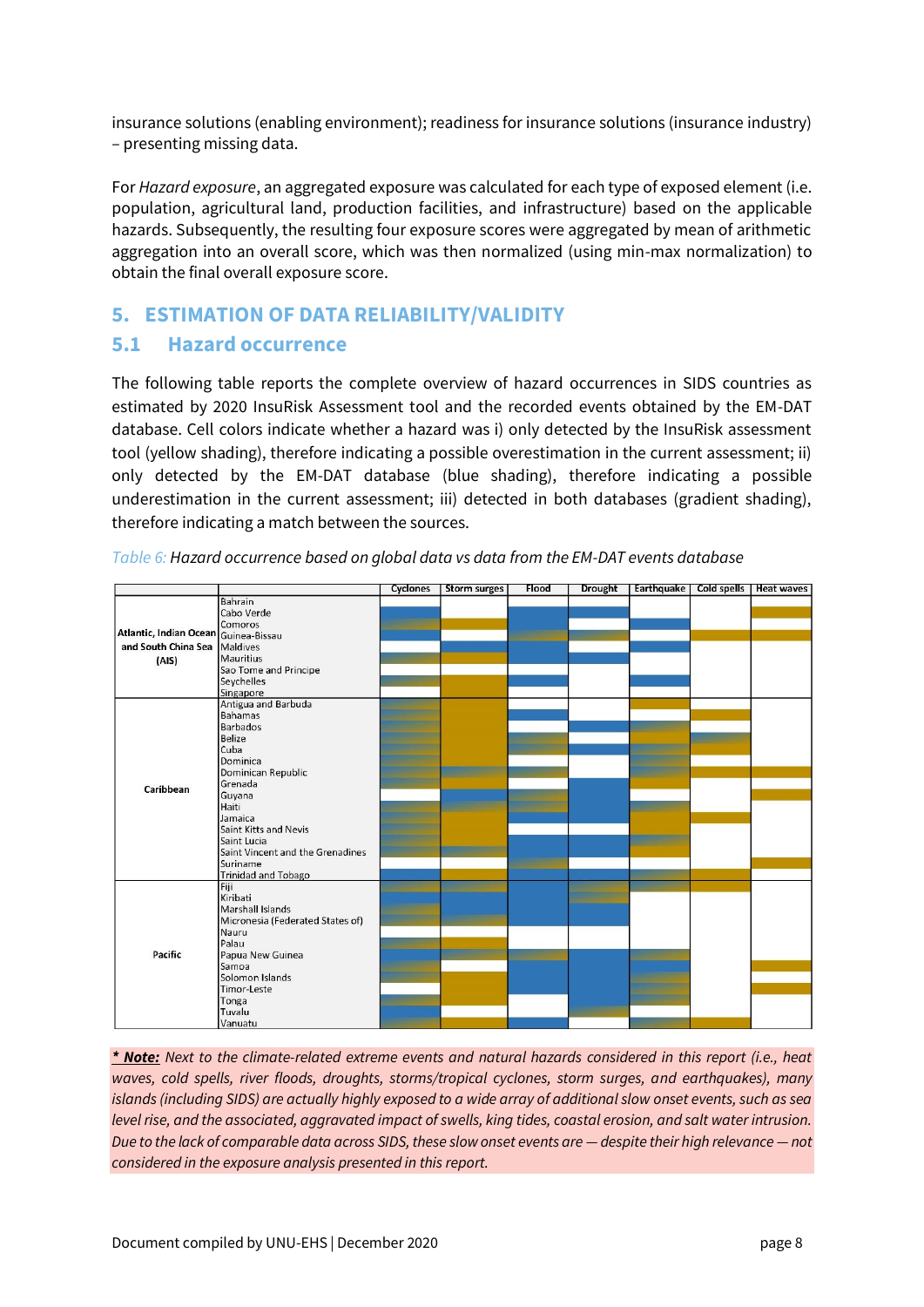insurance solutions (enabling environment); readiness for insurance solutions (insurance industry) – presenting missing data.

For *Hazard exposure*, an aggregated exposure was calculated for each type of exposed element (i.e. population, agricultural land, production facilities, and infrastructure) based on the applicable hazards. Subsequently, the resulting four exposure scores were aggregated by mean of arithmetic aggregation into an overall score, which was then normalized (using min-max normalization) to obtain the final overall exposure score.

# **5. ESTIMATION OF DATA RELIABILITY/VALIDITY**

### **5.1 Hazard occurrence**

The following table reports the complete overview of hazard occurrences in SIDS countries as estimated by 2020 InsuRisk Assessment tool and the recorded events obtained by the EM-DAT database. Cell colors indicate whether a hazard was i) only detected by the InsuRisk assessment tool (yellow shading), therefore indicating a possible overestimation in the current assessment; ii) only detected by the EM-DAT database (blue shading), therefore indicating a possible underestimation in the current assessment; iii) detected in both databases (gradient shading), therefore indicating a match between the sources.

|                                      |                                  | Cyclones | <b>Storm surges</b> | Flood | <b>Drought</b> | Earthquake | Cold spells | <b>Heat waves</b> |
|--------------------------------------|----------------------------------|----------|---------------------|-------|----------------|------------|-------------|-------------------|
|                                      | Bahrain                          |          |                     |       |                |            |             |                   |
|                                      | Cabo Verde                       |          |                     |       |                |            |             |                   |
|                                      | Comoros                          |          |                     |       |                |            |             |                   |
| Atlantic, Indian Ocean Guinea-Bissau |                                  |          |                     |       |                |            |             |                   |
| and South China Sea Maldives         |                                  |          |                     |       |                |            |             |                   |
| (AIS)                                | Mauritius                        |          |                     |       |                |            |             |                   |
|                                      | Sao Tome and Principe            |          |                     |       |                |            |             |                   |
|                                      | Seychelles                       |          |                     |       |                |            |             |                   |
|                                      | Singapore                        |          |                     |       |                |            |             |                   |
|                                      | Antigua and Barbuda              |          |                     |       |                |            |             |                   |
|                                      | <b>Bahamas</b>                   |          |                     |       |                |            |             |                   |
|                                      | <b>Barbados</b>                  |          |                     |       |                |            |             |                   |
|                                      | <b>Belize</b>                    |          |                     |       |                |            |             |                   |
|                                      | Cuba                             |          |                     |       |                |            |             |                   |
|                                      | Dominica                         |          |                     |       |                |            |             |                   |
| Caribbean                            | Dominican Republic               |          |                     |       |                |            |             |                   |
|                                      | Grenada                          |          |                     |       |                |            |             |                   |
|                                      | Guyana                           |          |                     |       |                |            |             |                   |
|                                      | Haiti                            |          |                     |       |                |            |             |                   |
|                                      | Jamaica                          |          |                     |       |                |            |             |                   |
|                                      | Saint Kitts and Nevis            |          |                     |       |                |            |             |                   |
|                                      | Saint Lucia                      |          |                     |       |                |            |             |                   |
|                                      | Saint Vincent and the Grenadines |          |                     |       |                |            |             |                   |
|                                      | <b>Suriname</b>                  |          |                     |       |                |            |             |                   |
|                                      | <b>Trinidad and Tobago</b>       |          |                     |       |                |            |             |                   |
|                                      | Fiji                             |          |                     |       |                |            |             |                   |
|                                      | Kiribati                         |          |                     |       |                |            |             |                   |
|                                      | Marshall Islands                 |          |                     |       |                |            |             |                   |
|                                      | Micronesia (Federated States of) |          |                     |       |                |            |             |                   |
|                                      | Nauru                            |          |                     |       |                |            |             |                   |
|                                      | Palau                            |          |                     |       |                |            |             |                   |
| Pacific                              | Papua New Guinea                 |          |                     |       |                |            |             |                   |
|                                      | Samoa                            |          |                     |       |                |            |             |                   |
|                                      | Solomon Islands                  |          |                     |       |                |            |             |                   |
|                                      | Timor-Leste                      |          |                     |       |                |            |             |                   |
|                                      | Tonga                            |          |                     |       |                |            |             |                   |
|                                      | Tuvalu                           |          |                     |       |                |            |             |                   |
|                                      | Vanuatu                          |          |                     |       |                |            |             |                   |

*Table 6: Hazard occurrence based on global data vs data from the EM-DAT events database*

*\* Note: Next to the climate-related extreme events and natural hazards considered in this report (i.e., heat waves, cold spells, river floods, droughts, storms/tropical cyclones, storm surges, and earthquakes), many islands (including SIDS) are actually highly exposed to a wide array of additional slow onset events, such as sea level rise, and the associated, aggravated impact of swells, king tides, coastal erosion, and salt water intrusion. Due to the lack of comparable data across SIDS, these slow onset events are — despite their high relevance — not considered in the exposure analysis presented in this report.*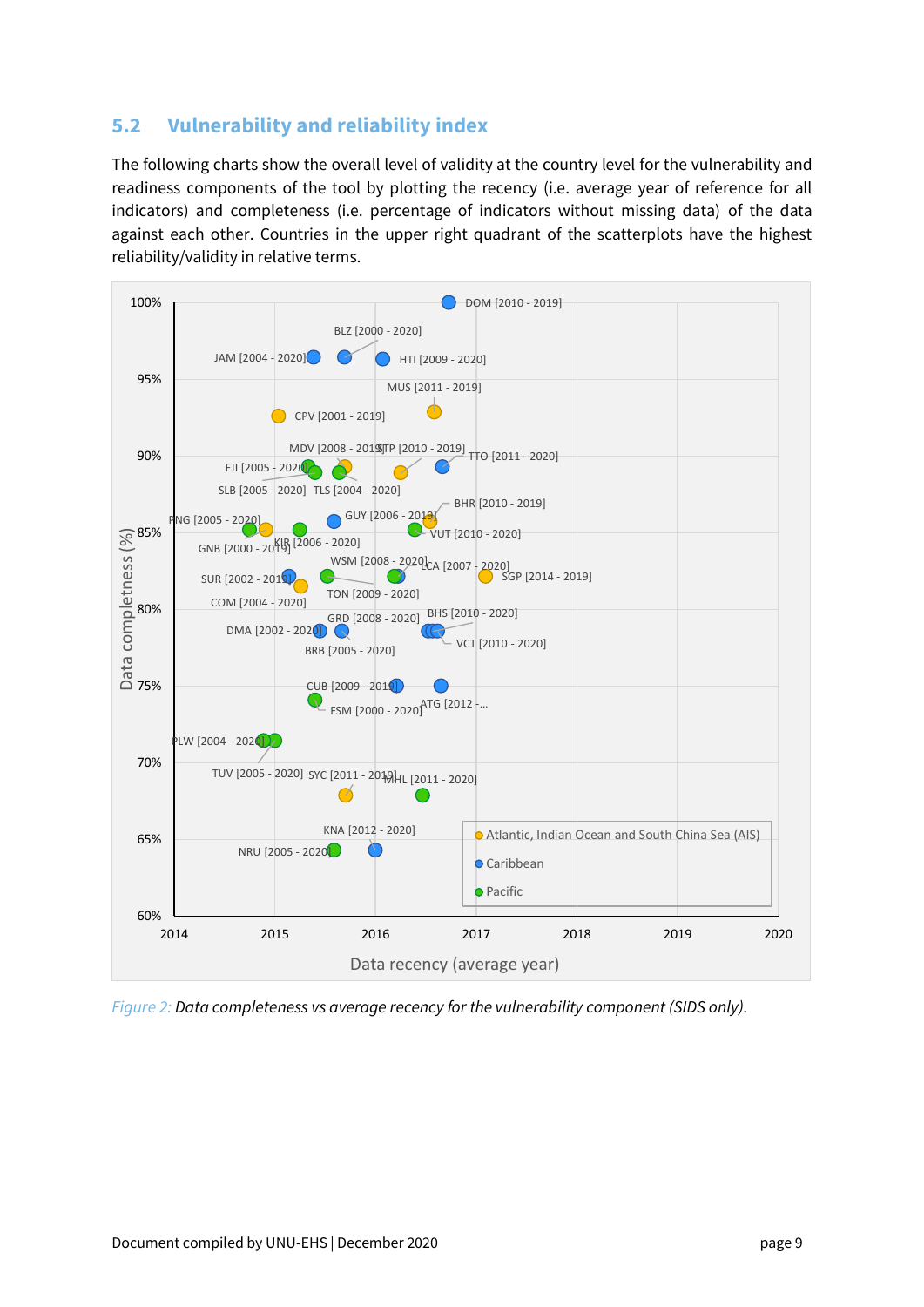# **5.2 Vulnerability and reliability index**

The following charts show the overall level of validity at the country level for the vulnerability and readiness components of the tool by plotting the recency (i.e. average year of reference for all indicators) and completeness (i.e. percentage of indicators without missing data) of the data against each other. Countries in the upper right quadrant of the scatterplots have the highest reliability/validity in relative terms.



*Figure 2: Data completeness vs average recency for the vulnerability component (SIDS only).*